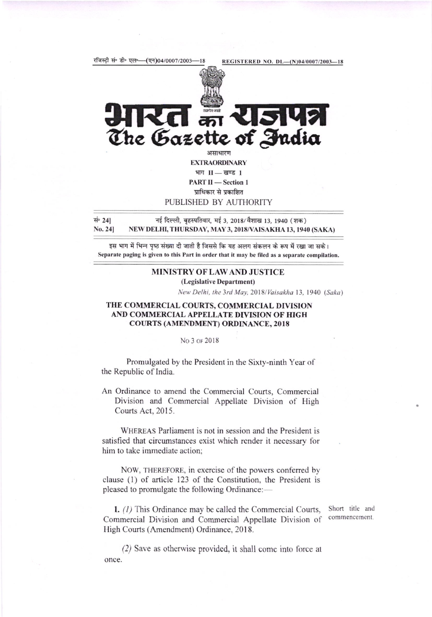

**YISIY** का The Gazette of India असाधारण

**EXTRAORDINARY** भाग II-खण्ड 1 **PART II - Section 1** प्राधिकार से प्रकाशित PUBLISHED BY AUTHORITY

सं∘ 241 नई दिल्ली, बृहस्पतिवार, मई 3, 2018/वैशाख 13, 1940 (शक) No. 241 NEW DELHI, THURSDAY, MAY 3, 2018/VAISAKHA 13, 1940 (SAKA)

इस भाग में भिन्न पृष्ठ संख्या दी जाती है जिससे कि यह अलग संकलन के रूप में रखा जा सके। Separate paging is given to this Part in order that it may be filed as a separate compilation.

## MINISTRY OF LAW AND JUSTICE (Legislative Department)

New Delhi, the 3rd May, 2018/Vaisakha 13, 1940 (Saka)

## THE COMMERCIAL COURTS, COMMERCIAL DIVISION AND COMMERCIAL APPELLATE DIVISION OF HIGH **COURTS (AMENDMENT) ORDINANCE, 2018**

## No 3 of 2018

Promulgated by the President in the Sixty-ninth Year of the Republic of India.

An Ordinance to amend the Commercial Courts, Commercial Division and Commercial Appellate Division of High Courts Act, 2015.

WHEREAS Parliament is not in session and the President is satisfied that circumstances exist which render it necessary for him to take immediate action:

NOW, THEREFORE, in exercise of the powers conferred by clause (1) of article 123 of the Constitution, the President is pleased to promulgate the following Ordinance:—

1. (1) This Ordinance may be called the Commercial Courts, Commercial Division and Commercial Appellate Division of High Courts (Amendment) Ordinance, 2018.

Short title and commencement.

(2) Save as otherwise provided, it shall come into force at once.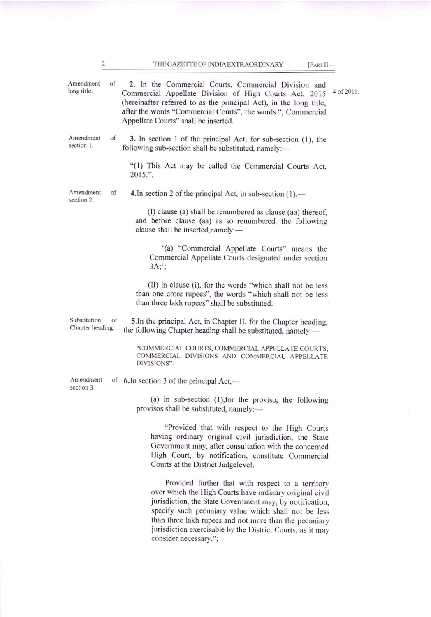THE GAZETTE OF INDIA EXTRAORDINARY [PART II-

Amendment of long title.

2. In the Commercial Courts, Commercial Division and Commercial Appellate Division of High Courts Act, 2015 4 of 2016. (hereinafter refened to as the principal Act), in the long title, after the words "Commercial Courts", the words ", Commercial Appellate Courts" shall be inserted.

Amendment section 1.

of

3. In section 1 of the principal Act, for sub-section  $(1)$ , the following sub-section shall be substituted, namely:-

"(1) This Act may be called the Commercial Courts Act, 2015.".

Amendment section 2.

of 4.In section 2 of the principal Act, in sub-section  $(1)$ ,—

(l) clause (a) shall be renumbered as clause (aa) thereof, and before clause (aa) as so renumbered, the following clause shall be inserted,namely:-

'(a) "Commercial Appellate Courts" means the Commercial Appellate Courts designated under section  $3A$ ;

(II) in clause (i), for the words "which shall not be less than one crore rupees", the words "which shall not be less than three lakh rupces" shall be substituted.

Substitution of Chapter heading.

5.ln the principal Act, in Chapter II, for the Chapter heading, the following Chapter heading shall be substituted, namely:-

"COMMERCIAL COURTS, COMMERCIAL APPELLATE COURTS. COMMERCIAL DIVISIONS AND COMMERCIAL APPELLATE DIVISIONS".

Amendment section 3.

of 6.In section 3 of the principal Act, -

> (a) in sub-section  $(1)$ , for the proviso, the following provisos shall be substituted, namely:—

"Provided that with respect to the High Courts having ordinary original civil jurisdiction, the State Govemment may, after consultation with the concemed High Court, by notification, constitute Commercial Courts at the District Judgelevcl:

Provided further that with respect to a territory over which the High Courts have ordinary original civil jurisdiction, the State Government may, by notification, specify such pecuniary value which shall not be less than three lakh rupees and not more than the pecuniary jurisdiction exercisable by the District Courts, as it may consider necessary.";